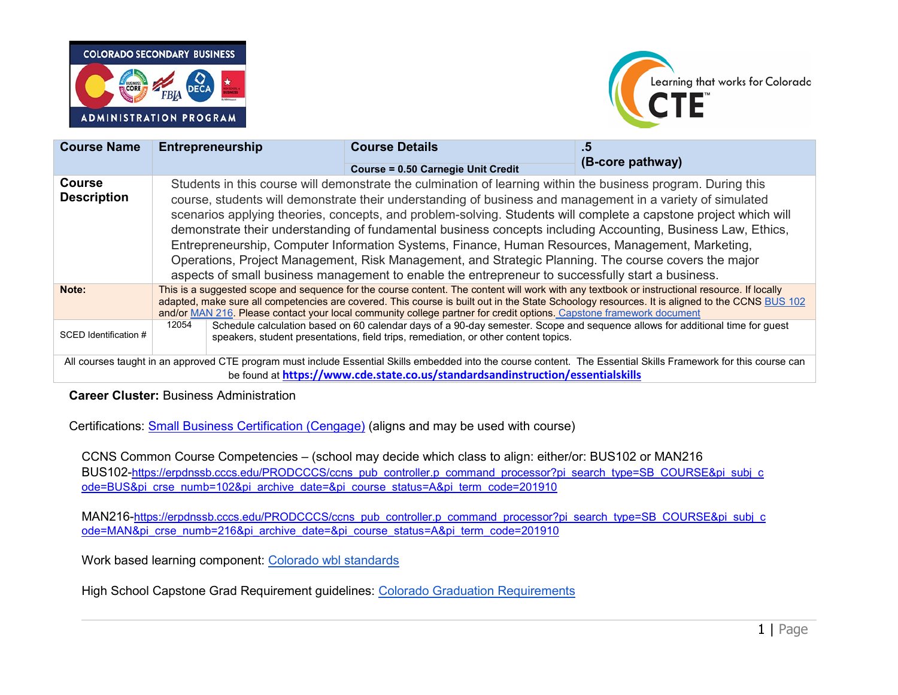



| <b>Course Name</b>                                                                                                                                                                                                                                  |                                                                                                                                                                                                                                                                                                                                                                                                                      | <b>Entrepreneurship</b> | <b>Course Details</b>                                                                                                                                                                                                                                                                                                                                                                                                                                                                                                                                                                                                                                                                                                                                                            | .5 | (B-core pathway) |
|-----------------------------------------------------------------------------------------------------------------------------------------------------------------------------------------------------------------------------------------------------|----------------------------------------------------------------------------------------------------------------------------------------------------------------------------------------------------------------------------------------------------------------------------------------------------------------------------------------------------------------------------------------------------------------------|-------------------------|----------------------------------------------------------------------------------------------------------------------------------------------------------------------------------------------------------------------------------------------------------------------------------------------------------------------------------------------------------------------------------------------------------------------------------------------------------------------------------------------------------------------------------------------------------------------------------------------------------------------------------------------------------------------------------------------------------------------------------------------------------------------------------|----|------------------|
|                                                                                                                                                                                                                                                     |                                                                                                                                                                                                                                                                                                                                                                                                                      |                         | <b>Course = 0.50 Carnegie Unit Credit</b>                                                                                                                                                                                                                                                                                                                                                                                                                                                                                                                                                                                                                                                                                                                                        |    |                  |
| <b>Course</b><br><b>Description</b>                                                                                                                                                                                                                 |                                                                                                                                                                                                                                                                                                                                                                                                                      |                         | Students in this course will demonstrate the culmination of learning within the business program. During this<br>course, students will demonstrate their understanding of business and management in a variety of simulated<br>scenarios applying theories, concepts, and problem-solving. Students will complete a capstone project which will<br>demonstrate their understanding of fundamental business concepts including Accounting, Business Law, Ethics,<br>Entrepreneurship, Computer Information Systems, Finance, Human Resources, Management, Marketing,<br>Operations, Project Management, Risk Management, and Strategic Planning. The course covers the major<br>aspects of small business management to enable the entrepreneur to successfully start a business. |    |                  |
| Note:                                                                                                                                                                                                                                               | This is a suggested scope and sequence for the course content. The content will work with any textbook or instructional resource. If locally<br>adapted, make sure all competencies are covered. This course is built out in the State Schoology resources. It is aligned to the CCNS BUS 102<br>and/or MAN 216. Please contact your local community college partner for credit options. Capstone framework document |                         |                                                                                                                                                                                                                                                                                                                                                                                                                                                                                                                                                                                                                                                                                                                                                                                  |    |                  |
| SCED Identification #                                                                                                                                                                                                                               | Schedule calculation based on 60 calendar days of a 90-day semester. Scope and sequence allows for additional time for guest<br>12054<br>speakers, student presentations, field trips, remediation, or other content topics.                                                                                                                                                                                         |                         |                                                                                                                                                                                                                                                                                                                                                                                                                                                                                                                                                                                                                                                                                                                                                                                  |    |                  |
| All courses taught in an approved CTE program must include Essential Skills embedded into the course content. The Essential Skills Framework for this course can<br>be found at https://www.cde.state.co.us/standardsandinstruction/essentialskills |                                                                                                                                                                                                                                                                                                                                                                                                                      |                         |                                                                                                                                                                                                                                                                                                                                                                                                                                                                                                                                                                                                                                                                                                                                                                                  |    |                  |

## **Career Cluster:** Business Administration

Certifications: [Small Business Certification \(Cengage\)](https://certiport.pearsonvue.com/Certifications/ESB/Certification/Overview.aspx) (aligns and may be used with course)

CCNS Common Course Competencies – (school may decide which class to align: either/or: BUS102 or MAN216 BUS102[-https://erpdnssb.cccs.edu/PRODCCCS/ccns\\_pub\\_controller.p\\_command\\_processor?pi\\_search\\_type=SB\\_COURSE&pi\\_subj\\_c](https://erpdnssb.cccs.edu/PRODCCCS/ccns_pub_controller.p_command_processor?pi_search_type=SB_COURSE&pi_subj_code=BUS&pi_crse_numb=102&pi_archive_date&pi_course_status=A&pi_term_code=201910) ode=BUS&pi crse\_numb=102&pi\_archive\_date=&pi\_course\_status=A&pi\_term\_code=201910

MAN216[-https://erpdnssb.cccs.edu/PRODCCCS/ccns\\_pub\\_controller.p\\_command\\_processor?pi\\_search\\_type=SB\\_COURSE&pi\\_subj\\_c](https://erpdnssb.cccs.edu/PRODCCCS/ccns_pub_controller.p_command_processor?pi_search_type=SB_COURSE&pi_subj_code=MAN&pi_crse_numb=216&pi_archive_date&pi_course_status=A&pi_term_code=201910) [ode=MAN&pi\\_crse\\_numb=216&pi\\_archive\\_date=&pi\\_course\\_status=A&pi\\_term\\_code=201910](https://erpdnssb.cccs.edu/PRODCCCS/ccns_pub_controller.p_command_processor?pi_search_type=SB_COURSE&pi_subj_code=MAN&pi_crse_numb=216&pi_archive_date&pi_course_status=A&pi_term_code=201910)

Work based learning component: [Colorado wbl standards](https://www.cde.state.co.us/postsecondary/workbasedlearning)

High School Capstone Grad Requirement guidelines: [Colorado Graduation Requirements](https://www.cde.state.co.us/postsecondary/ggsummitcapstone)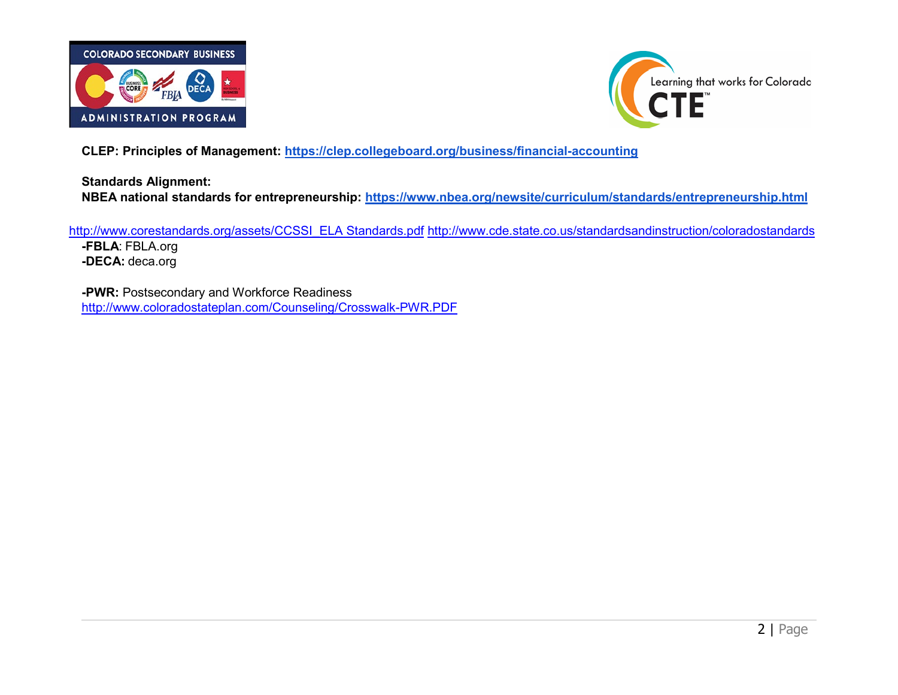



**CLEP: Principles of Management:<https://clep.collegeboard.org/business/financial-accounting>**

**Standards Alignment: NBEA national standards for entrepreneurship:<https://www.nbea.org/newsite/curriculum/standards/entrepreneurship.html>**

[http://www.corestandards.org/assets/CCSSI\\_ELA Standards.pdf](http://www.corestandards.org/assets/CCSSI_ELA%20Standards.pdf) <http://www.cde.state.co.us/standardsandinstruction/coloradostandards> **-FBLA**: FBLA.org **-DECA:** deca.org

**-PWR:** Postsecondary and Workforce Readiness <http://www.coloradostateplan.com/Counseling/Crosswalk-PWR.PDF>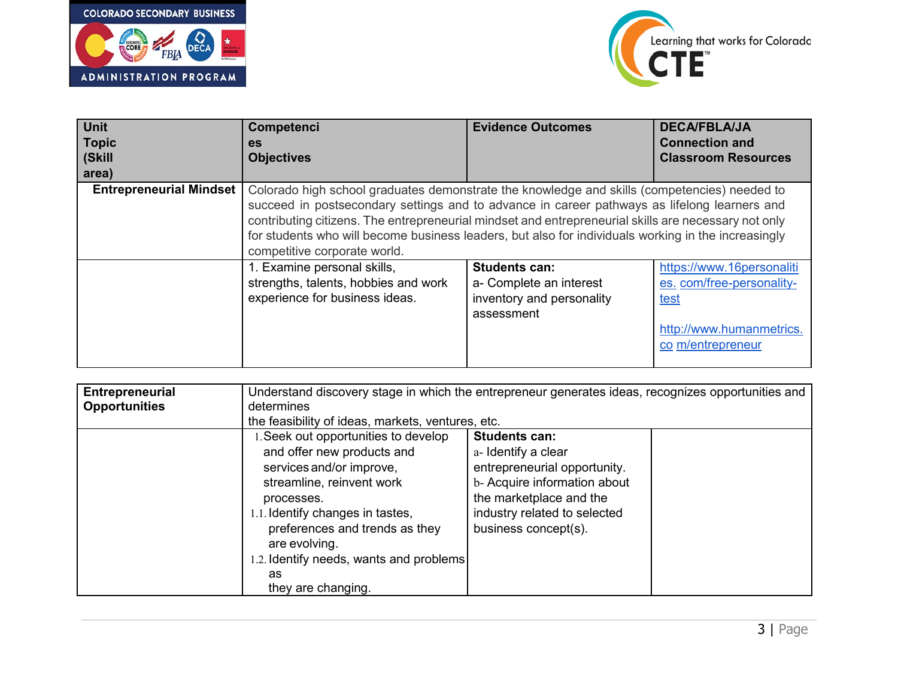



| <b>Unit</b>                    | Competenci                                                                                           | <b>Evidence Outcomes</b>  | <b>DECA/FBLA/JA</b>        |  |
|--------------------------------|------------------------------------------------------------------------------------------------------|---------------------------|----------------------------|--|
| <b>Topic</b>                   | <b>es</b>                                                                                            |                           | <b>Connection and</b>      |  |
| (Skill                         | <b>Objectives</b>                                                                                    |                           | <b>Classroom Resources</b> |  |
| area)                          |                                                                                                      |                           |                            |  |
| <b>Entrepreneurial Mindset</b> | Colorado high school graduates demonstrate the knowledge and skills (competencies) needed to         |                           |                            |  |
|                                | succeed in postsecondary settings and to advance in career pathways as lifelong learners and         |                           |                            |  |
|                                | contributing citizens. The entrepreneurial mindset and entrepreneurial skills are necessary not only |                           |                            |  |
|                                | for students who will become business leaders, but also for individuals working in the increasingly  |                           |                            |  |
|                                | competitive corporate world.                                                                         |                           |                            |  |
|                                | 1. Examine personal skills,                                                                          | <b>Students can:</b>      | https://www.16personaliti  |  |
|                                | strengths, talents, hobbies and work                                                                 | a- Complete an interest   | es. com/free-personality-  |  |
|                                | experience for business ideas.                                                                       | inventory and personality | <u>test</u>                |  |
|                                |                                                                                                      | assessment                |                            |  |
|                                |                                                                                                      |                           | http://www.humanmetrics.   |  |
|                                |                                                                                                      |                           | co m/entrepreneur          |  |
|                                |                                                                                                      |                           |                            |  |

| determines<br><b>Opportunities</b><br>the feasibility of ideas, markets, ventures, etc.<br><b>Students can:</b><br>1. Seek out opportunities to develop<br>and offer new products and<br>a- Identify a clear<br>services and/or improve,<br>entrepreneurial opportunity.                                                 |  |
|--------------------------------------------------------------------------------------------------------------------------------------------------------------------------------------------------------------------------------------------------------------------------------------------------------------------------|--|
|                                                                                                                                                                                                                                                                                                                          |  |
|                                                                                                                                                                                                                                                                                                                          |  |
| b- Acquire information about<br>streamline, reinvent work<br>the marketplace and the<br>processes.<br>1.1. Identify changes in tastes,<br>industry related to selected<br>business concept(s).<br>preferences and trends as they<br>are evolving.<br>1.2. Identify needs, wants and problems<br>as<br>they are changing. |  |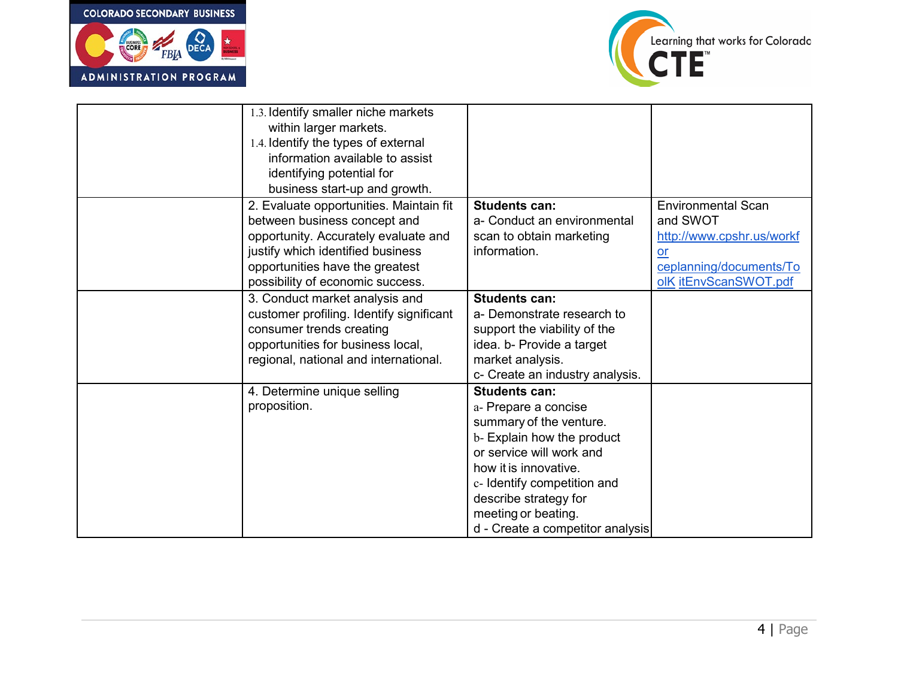

 $\parallel$ 



| 1.3. Identify smaller niche markets      |                                  |                           |
|------------------------------------------|----------------------------------|---------------------------|
| within larger markets.                   |                                  |                           |
| 1.4. Identify the types of external      |                                  |                           |
| information available to assist          |                                  |                           |
| identifying potential for                |                                  |                           |
| business start-up and growth.            |                                  |                           |
| 2. Evaluate opportunities. Maintain fit  | <b>Students can:</b>             | <b>Environmental Scan</b> |
| between business concept and             | a- Conduct an environmental      | and SWOT                  |
| opportunity. Accurately evaluate and     | scan to obtain marketing         | http://www.cpshr.us/workf |
| justify which identified business        | information.                     | or                        |
| opportunities have the greatest          |                                  | ceplanning/documents/To   |
| possibility of economic success.         |                                  | olK itEnvScanSWOT.pdf     |
| 3. Conduct market analysis and           | <b>Students can:</b>             |                           |
| customer profiling. Identify significant | a- Demonstrate research to       |                           |
| consumer trends creating                 | support the viability of the     |                           |
| opportunities for business local,        | idea. b- Provide a target        |                           |
| regional, national and international.    | market analysis.                 |                           |
|                                          | c- Create an industry analysis.  |                           |
| 4. Determine unique selling              | <b>Students can:</b>             |                           |
| proposition.                             | a- Prepare a concise             |                           |
|                                          | summary of the venture.          |                           |
|                                          | b- Explain how the product       |                           |
|                                          | or service will work and         |                           |
|                                          | how it is innovative.            |                           |
|                                          | c- Identify competition and      |                           |
|                                          | describe strategy for            |                           |
|                                          | meeting or beating.              |                           |
|                                          | d - Create a competitor analysis |                           |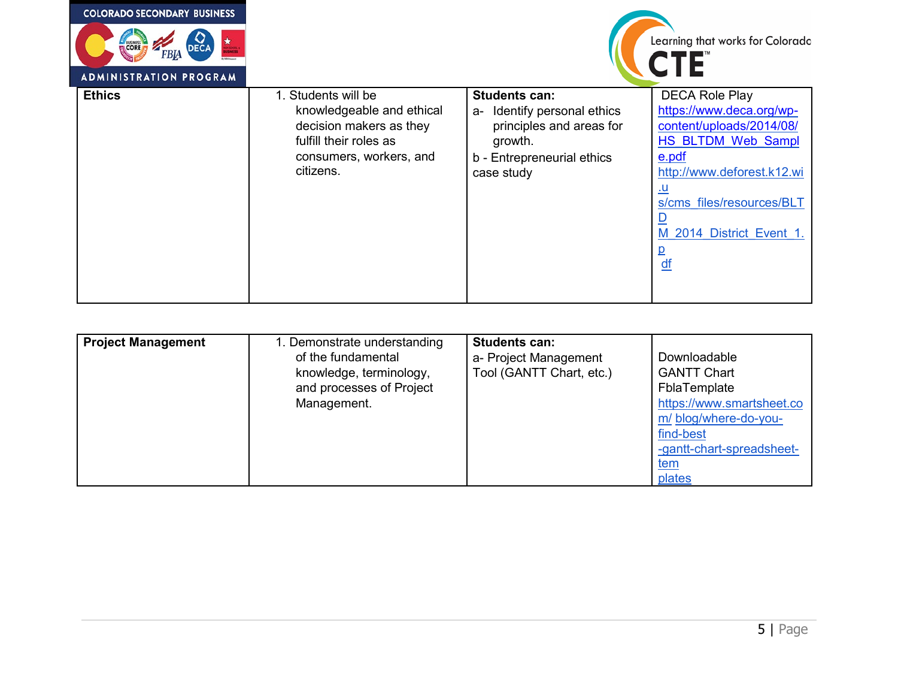| <b>COLORADO SECONDARY BUSINESS</b> |                                                                                                                                               |                                                                                                                                           |                                                                                                                                                                                                                                      |
|------------------------------------|-----------------------------------------------------------------------------------------------------------------------------------------------|-------------------------------------------------------------------------------------------------------------------------------------------|--------------------------------------------------------------------------------------------------------------------------------------------------------------------------------------------------------------------------------------|
| E BUSINESS<br>DEC/<br>FBIA         |                                                                                                                                               |                                                                                                                                           | Learning that works for Colorado<br><b>CTE</b>                                                                                                                                                                                       |
| <b>ADMINISTRATION PROGRAM</b>      |                                                                                                                                               |                                                                                                                                           |                                                                                                                                                                                                                                      |
| <b>Ethics</b>                      | 1. Students will be<br>knowledgeable and ethical<br>decision makers as they<br>fulfill their roles as<br>consumers, workers, and<br>citizens. | <b>Students can:</b><br>Identify personal ethics<br>a-<br>principles and areas for<br>growth.<br>b - Entrepreneurial ethics<br>case study | <b>DECA Role Play</b><br>https://www.deca.org/wp-<br>content/uploads/2014/08/<br>HS BLTDM Web Sampl<br>e.pdf<br>http://www.deforest.k12.wi<br><u>.u</u><br>s/cms files/resources/BLT<br>M 2014 District Event 1.<br>$\underline{df}$ |

| <b>Project Management</b> | 1. Demonstrate understanding<br>of the fundamental<br>knowledge, terminology,<br>and processes of Project<br>Management. | <b>Students can:</b><br>a- Project Management<br>Tool (GANTT Chart, etc.) | Downloadable<br><b>GANTT Chart</b><br>FblaTemplate<br>https://www.smartsheet.co<br>m/ blog/where-do-you-<br>find-best<br>-gantt-chart-spreadsheet-<br><u>tem</u><br>plates |
|---------------------------|--------------------------------------------------------------------------------------------------------------------------|---------------------------------------------------------------------------|----------------------------------------------------------------------------------------------------------------------------------------------------------------------------|
|---------------------------|--------------------------------------------------------------------------------------------------------------------------|---------------------------------------------------------------------------|----------------------------------------------------------------------------------------------------------------------------------------------------------------------------|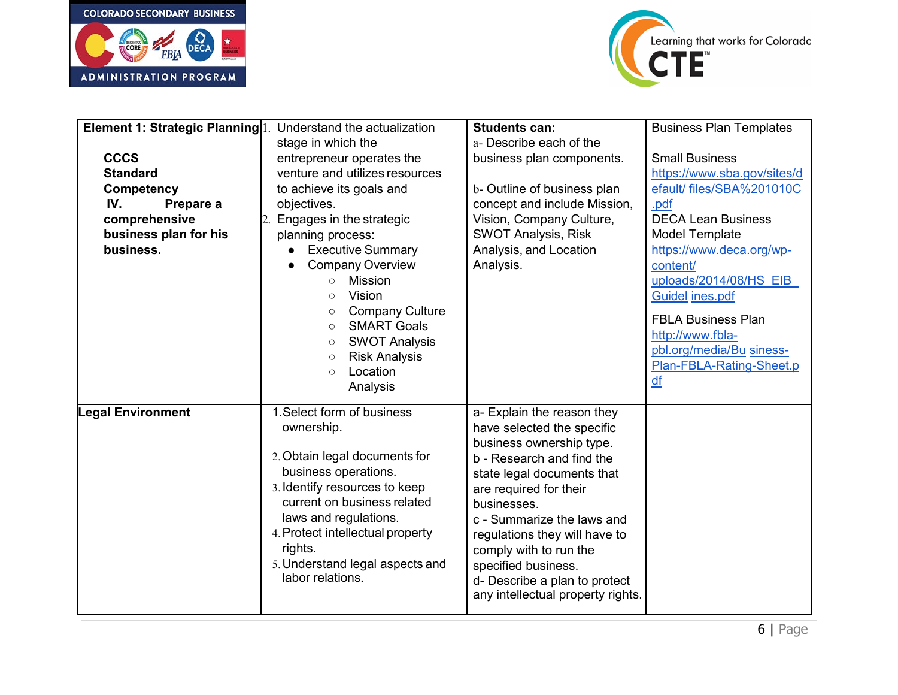



| Element 1: Strategic Planning 1.<br><b>CCCS</b><br><b>Standard</b><br><b>Competency</b><br>IV.<br>Prepare a<br>comprehensive<br>business plan for his<br>business. | Understand the actualization<br>stage in which the<br>entrepreneur operates the<br>venture and utilizes resources<br>to achieve its goals and<br>objectives.<br>Engages in the strategic<br>planning process:<br><b>Executive Summary</b><br><b>Company Overview</b><br><b>Mission</b><br>$\circ$<br>Vision<br>$\circ$<br><b>Company Culture</b><br>$\circ$<br><b>SMART Goals</b><br>$\circ$<br><b>SWOT Analysis</b><br>$\circ$<br><b>Risk Analysis</b><br>$\circ$<br>Location<br>$\circ$<br>Analysis | <b>Students can:</b><br>a- Describe each of the<br>business plan components.<br>b- Outline of business plan<br>concept and include Mission,<br>Vision, Company Culture,<br><b>SWOT Analysis, Risk</b><br>Analysis, and Location<br>Analysis.                                                                                                                                   | <b>Business Plan Templates</b><br><b>Small Business</b><br>https://www.sba.gov/sites/d<br>efault/ files/SBA%201010C<br>.pdf<br><b>DECA Lean Business</b><br><b>Model Template</b><br>https://www.deca.org/wp-<br>content/<br>uploads/2014/08/HS EIB<br><b>Guidel ines.pdf</b><br><b>FBLA Business Plan</b><br>http://www.fbla-<br>pbl.org/media/Bu siness-<br>Plan-FBLA-Rating-Sheet.p<br>df |
|--------------------------------------------------------------------------------------------------------------------------------------------------------------------|-------------------------------------------------------------------------------------------------------------------------------------------------------------------------------------------------------------------------------------------------------------------------------------------------------------------------------------------------------------------------------------------------------------------------------------------------------------------------------------------------------|--------------------------------------------------------------------------------------------------------------------------------------------------------------------------------------------------------------------------------------------------------------------------------------------------------------------------------------------------------------------------------|----------------------------------------------------------------------------------------------------------------------------------------------------------------------------------------------------------------------------------------------------------------------------------------------------------------------------------------------------------------------------------------------|
| <b>Legal Environment</b>                                                                                                                                           | 1. Select form of business<br>ownership.<br>2. Obtain legal documents for<br>business operations.<br>3. Identify resources to keep<br>current on business related<br>laws and regulations.<br>4. Protect intellectual property<br>rights.<br>5. Understand legal aspects and<br>labor relations.                                                                                                                                                                                                      | a- Explain the reason they<br>have selected the specific<br>business ownership type.<br>b - Research and find the<br>state legal documents that<br>are required for their<br>businesses.<br>c - Summarize the laws and<br>regulations they will have to<br>comply with to run the<br>specified business.<br>d- Describe a plan to protect<br>any intellectual property rights. |                                                                                                                                                                                                                                                                                                                                                                                              |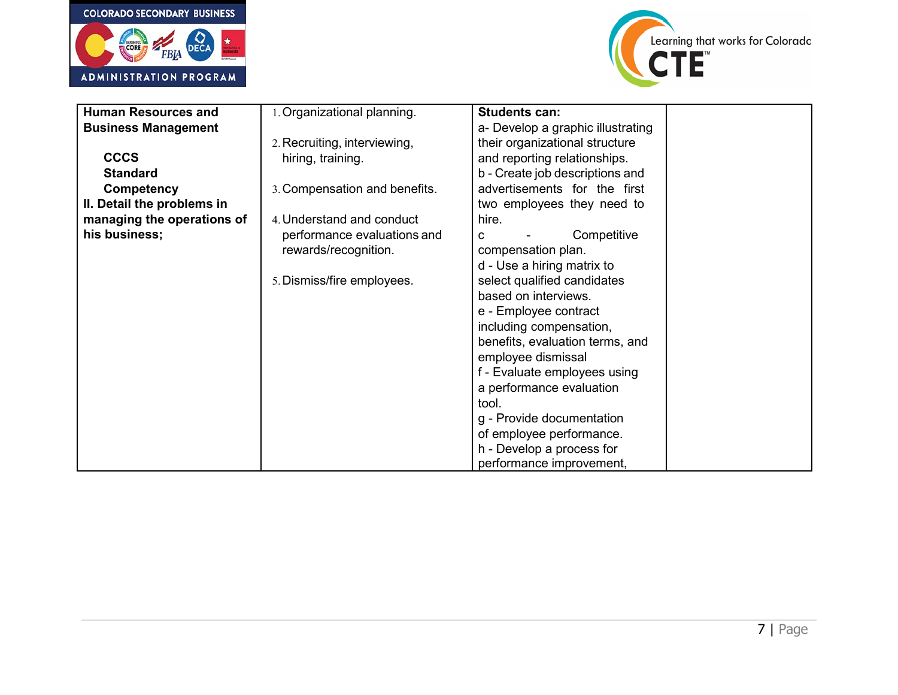



| <b>Human Resources and</b> | 1. Organizational planning.   | <b>Students can:</b>              |  |
|----------------------------|-------------------------------|-----------------------------------|--|
|                            |                               |                                   |  |
| <b>Business Management</b> |                               | a- Develop a graphic illustrating |  |
|                            | 2. Recruiting, interviewing,  | their organizational structure    |  |
| <b>CCCS</b>                | hiring, training.             | and reporting relationships.      |  |
| <b>Standard</b>            |                               | b - Create job descriptions and   |  |
| <b>Competency</b>          | 3. Compensation and benefits. | advertisements for the first      |  |
| II. Detail the problems in |                               | two employees they need to        |  |
| managing the operations of | 4. Understand and conduct     | hire.                             |  |
| his business;              | performance evaluations and   | Competitive<br>C                  |  |
|                            | rewards/recognition.          | compensation plan.                |  |
|                            |                               | d - Use a hiring matrix to        |  |
|                            | 5. Dismiss/fire employees.    | select qualified candidates       |  |
|                            |                               | based on interviews.              |  |
|                            |                               | e - Employee contract             |  |
|                            |                               | including compensation,           |  |
|                            |                               | benefits, evaluation terms, and   |  |
|                            |                               | employee dismissal                |  |
|                            |                               | f - Evaluate employees using      |  |
|                            |                               | a performance evaluation          |  |
|                            |                               | tool.                             |  |
|                            |                               | g - Provide documentation         |  |
|                            |                               | of employee performance.          |  |
|                            |                               | h - Develop a process for         |  |
|                            |                               | performance improvement,          |  |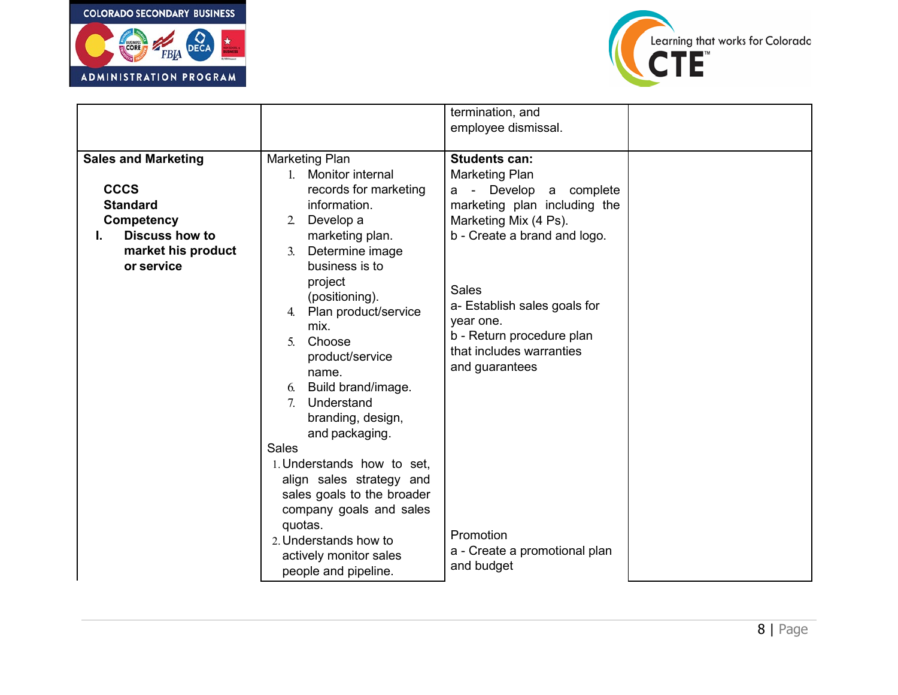



|                            |                                   | termination, and              |  |
|----------------------------|-----------------------------------|-------------------------------|--|
|                            |                                   | employee dismissal.           |  |
|                            |                                   |                               |  |
| <b>Sales and Marketing</b> | <b>Marketing Plan</b>             | <b>Students can:</b>          |  |
|                            | 1. Monitor internal               | <b>Marketing Plan</b>         |  |
| <b>CCCS</b>                | records for marketing             | - Develop<br>a complete<br>а  |  |
| <b>Standard</b>            | information.                      | marketing plan including the  |  |
| <b>Competency</b>          | Develop a<br>2.                   | Marketing Mix (4 Ps).         |  |
| <b>Discuss how to</b>      | marketing plan.                   | b - Create a brand and logo.  |  |
| market his product         | Determine image<br>3 <sub>l</sub> |                               |  |
| or service                 | business is to                    |                               |  |
|                            | project                           | <b>Sales</b>                  |  |
|                            | (positioning).                    | a- Establish sales goals for  |  |
|                            | Plan product/service<br>4.        | year one.                     |  |
|                            | mix.                              | b - Return procedure plan     |  |
|                            | Choose<br>5.                      | that includes warranties      |  |
|                            | product/service                   | and guarantees                |  |
|                            | name.                             |                               |  |
|                            | Build brand/image.<br>6.          |                               |  |
|                            | Understand<br>7 <sub>1</sub>      |                               |  |
|                            | branding, design,                 |                               |  |
|                            | and packaging.                    |                               |  |
|                            | <b>Sales</b>                      |                               |  |
|                            | 1. Understands how to set,        |                               |  |
|                            | align sales strategy and          |                               |  |
|                            | sales goals to the broader        |                               |  |
|                            | company goals and sales           |                               |  |
|                            | quotas.                           | Promotion                     |  |
|                            | 2. Understands how to             | a - Create a promotional plan |  |
|                            | actively monitor sales            | and budget                    |  |
|                            | people and pipeline.              |                               |  |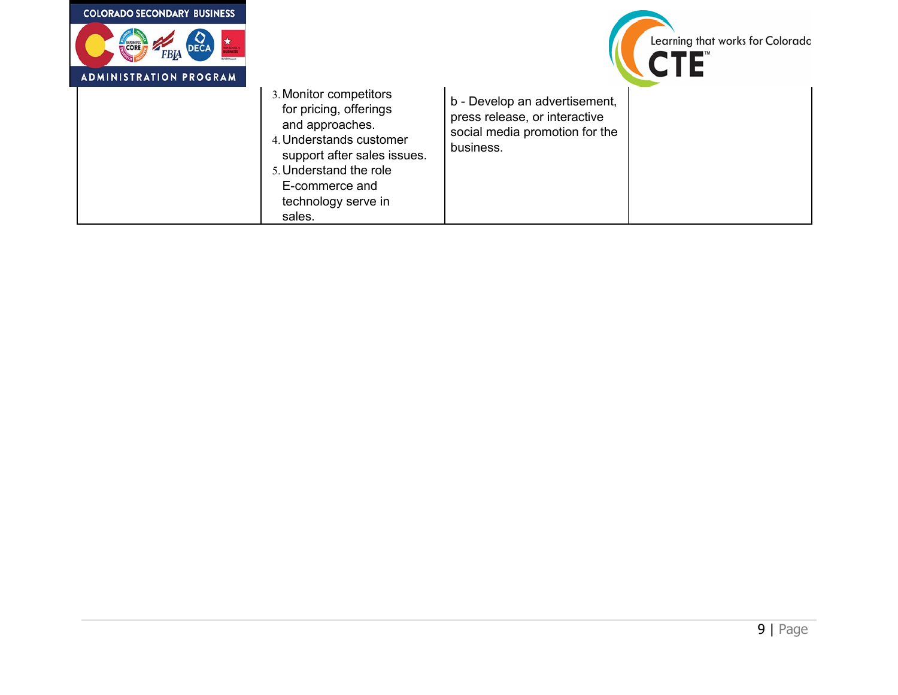| <b>COLORADO SECONDARY BUSINESS</b> |                                                                                                                                                                                                            |                                                                                                               |                                         |
|------------------------------------|------------------------------------------------------------------------------------------------------------------------------------------------------------------------------------------------------------|---------------------------------------------------------------------------------------------------------------|-----------------------------------------|
| E BUSINESS<br>FBIA                 |                                                                                                                                                                                                            |                                                                                                               | Learning that works for Colorado<br>CTE |
| <b>ADMINISTRATION PROGRAM</b>      |                                                                                                                                                                                                            |                                                                                                               |                                         |
|                                    | 3. Monitor competitors<br>for pricing, offerings<br>and approaches.<br>4. Understands customer<br>support after sales issues.<br>5. Understand the role<br>E-commerce and<br>technology serve in<br>sales. | b - Develop an advertisement,<br>press release, or interactive<br>social media promotion for the<br>business. |                                         |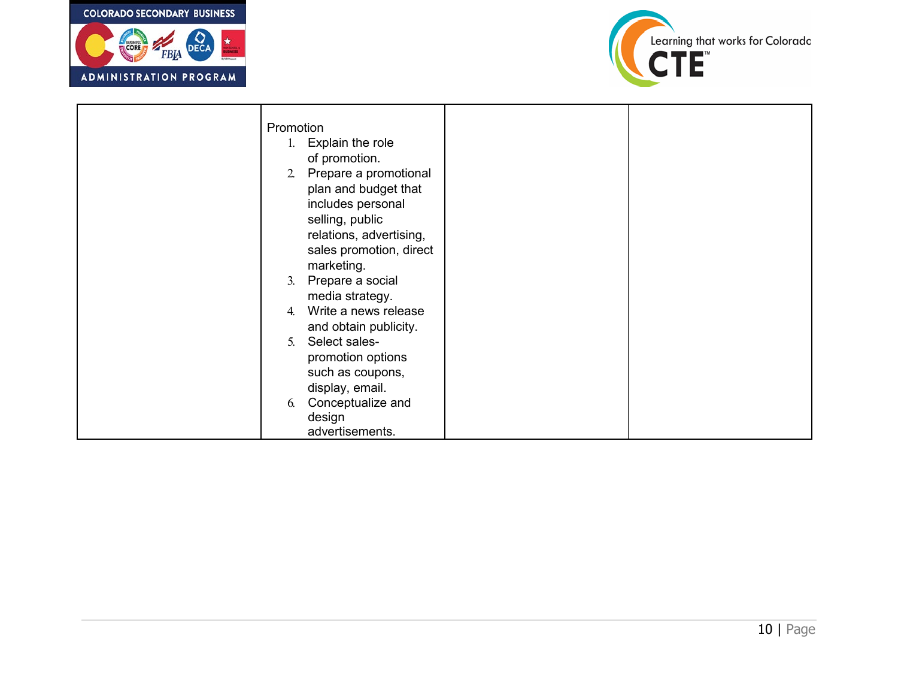



| Promotion |                         |  |
|-----------|-------------------------|--|
| 1.        | Explain the role        |  |
|           | of promotion.           |  |
| 2.        | Prepare a promotional   |  |
|           | plan and budget that    |  |
|           | includes personal       |  |
|           | selling, public         |  |
|           | relations, advertising, |  |
|           | sales promotion, direct |  |
|           | marketing.              |  |
| 3.        | Prepare a social        |  |
|           | media strategy.         |  |
| 4.        | Write a news release    |  |
|           | and obtain publicity.   |  |
| 5.        | Select sales-           |  |
|           | promotion options       |  |
|           | such as coupons,        |  |
|           | display, email.         |  |
| 6.        | Conceptualize and       |  |
|           | design                  |  |
|           | advertisements.         |  |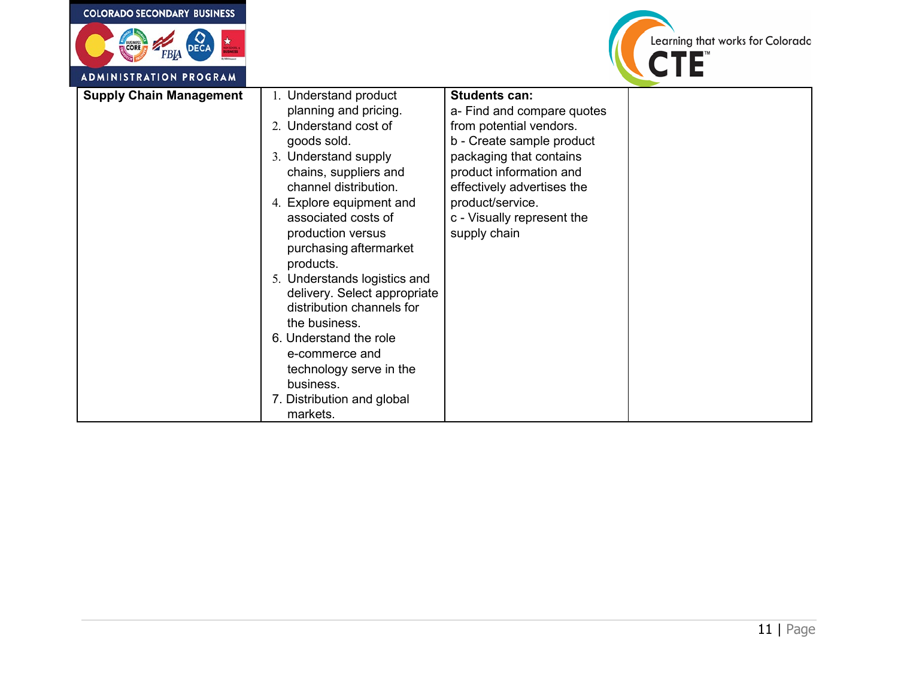| <b>COLORADO SECONDARY BUSINESS</b>                   |                                                                                                                                                                                                                                                                                                                                                                                                                                                                                                                             |                                                                                                                                                                                                                                                                  |                                  |
|------------------------------------------------------|-----------------------------------------------------------------------------------------------------------------------------------------------------------------------------------------------------------------------------------------------------------------------------------------------------------------------------------------------------------------------------------------------------------------------------------------------------------------------------------------------------------------------------|------------------------------------------------------------------------------------------------------------------------------------------------------------------------------------------------------------------------------------------------------------------|----------------------------------|
| CORE<br><b>FBIA</b><br><b>ADMINISTRATION PROGRAM</b> |                                                                                                                                                                                                                                                                                                                                                                                                                                                                                                                             |                                                                                                                                                                                                                                                                  | Learning that works for Colorado |
| <b>Supply Chain Management</b>                       | 1. Understand product<br>planning and pricing.<br>2. Understand cost of<br>goods sold.<br>3. Understand supply<br>chains, suppliers and<br>channel distribution.<br>4. Explore equipment and<br>associated costs of<br>production versus<br>purchasing aftermarket<br>products.<br>5. Understands logistics and<br>delivery. Select appropriate<br>distribution channels for<br>the business.<br>6. Understand the role<br>e-commerce and<br>technology serve in the<br>business.<br>7. Distribution and global<br>markets. | <b>Students can:</b><br>a- Find and compare quotes<br>from potential vendors.<br>b - Create sample product<br>packaging that contains<br>product information and<br>effectively advertises the<br>product/service.<br>c - Visually represent the<br>supply chain |                                  |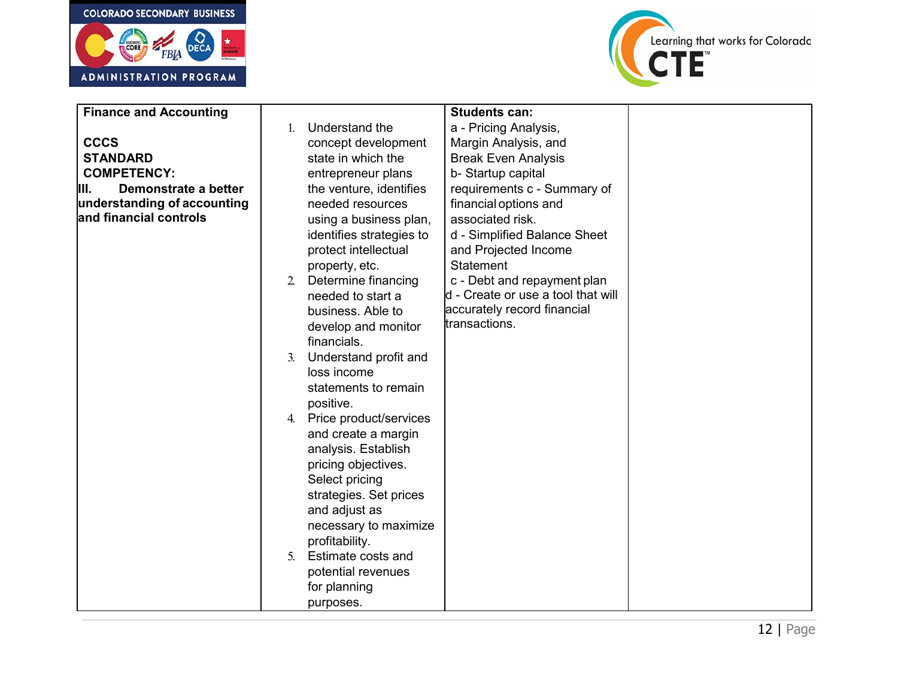



| <b>Finance and Accounting</b> |    |                          | <b>Students can:</b>               |  |
|-------------------------------|----|--------------------------|------------------------------------|--|
|                               |    | Understand the           | a - Pricing Analysis,              |  |
| <b>CCCS</b>                   |    | concept development      | Margin Analysis, and               |  |
| <b>STANDARD</b>               |    | state in which the       | <b>Break Even Analysis</b>         |  |
| <b>COMPETENCY:</b>            |    | entrepreneur plans       | b- Startup capital                 |  |
| Demonstrate a better<br>III.  |    | the venture, identifies  | requirements c - Summary of        |  |
| understanding of accounting   |    | needed resources         | financial options and              |  |
| and financial controls        |    | using a business plan,   | associated risk.                   |  |
|                               |    | identifies strategies to | d - Simplified Balance Sheet       |  |
|                               |    | protect intellectual     | and Projected Income               |  |
|                               |    | property, etc.           | <b>Statement</b>                   |  |
|                               | 2. | Determine financing      | c - Debt and repayment plan        |  |
|                               |    | needed to start a        | d - Create or use a tool that will |  |
|                               |    | business. Able to        | accurately record financial        |  |
|                               |    | develop and monitor      | transactions.                      |  |
|                               |    | financials.              |                                    |  |
|                               | 3. | Understand profit and    |                                    |  |
|                               |    | loss income              |                                    |  |
|                               |    | statements to remain     |                                    |  |
|                               |    | positive.                |                                    |  |
|                               | 4. | Price product/services   |                                    |  |
|                               |    | and create a margin      |                                    |  |
|                               |    | analysis. Establish      |                                    |  |
|                               |    | pricing objectives.      |                                    |  |
|                               |    | Select pricing           |                                    |  |
|                               |    | strategies. Set prices   |                                    |  |
|                               |    | and adjust as            |                                    |  |
|                               |    | necessary to maximize    |                                    |  |
|                               |    | profitability.           |                                    |  |
|                               | 5. | Estimate costs and       |                                    |  |
|                               |    | potential revenues       |                                    |  |
|                               |    | for planning             |                                    |  |
|                               |    | purposes.                |                                    |  |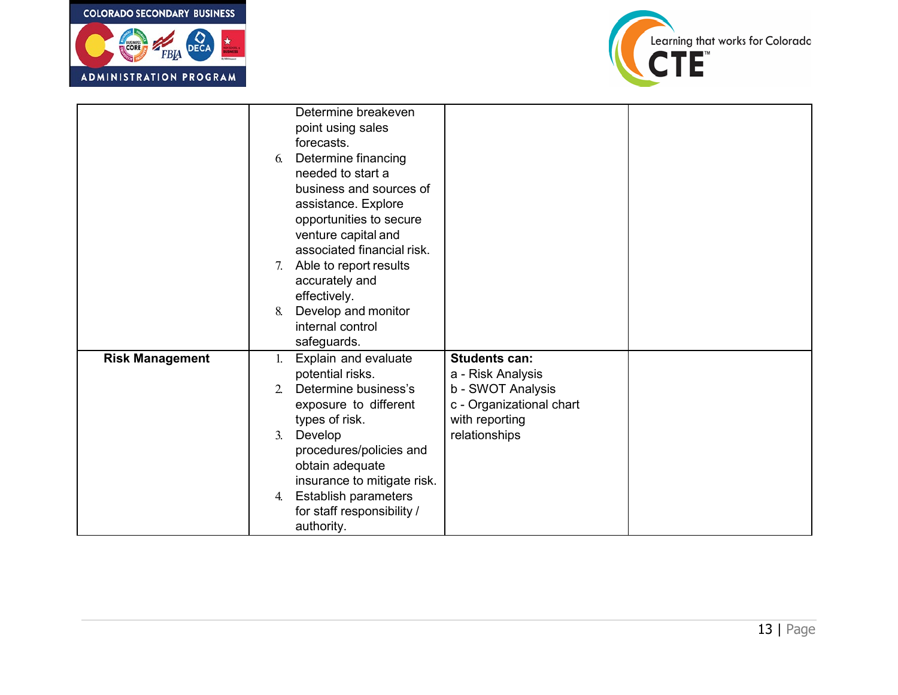



|                        |                | Determine breakeven         |                          |  |
|------------------------|----------------|-----------------------------|--------------------------|--|
|                        |                | point using sales           |                          |  |
|                        |                | forecasts.                  |                          |  |
|                        | 6.             | Determine financing         |                          |  |
|                        |                | needed to start a           |                          |  |
|                        |                | business and sources of     |                          |  |
|                        |                | assistance. Explore         |                          |  |
|                        |                | opportunities to secure     |                          |  |
|                        |                | venture capital and         |                          |  |
|                        |                | associated financial risk.  |                          |  |
|                        | 7.             | Able to report results      |                          |  |
|                        |                | accurately and              |                          |  |
|                        |                | effectively.                |                          |  |
|                        | 8.             | Develop and monitor         |                          |  |
|                        |                | internal control            |                          |  |
|                        |                | safeguards.                 |                          |  |
| <b>Risk Management</b> | 1.             | Explain and evaluate        | <b>Students can:</b>     |  |
|                        |                | potential risks.            | a - Risk Analysis        |  |
|                        | $\mathfrak{L}$ | Determine business's        | b - SWOT Analysis        |  |
|                        |                | exposure to different       | c - Organizational chart |  |
|                        |                | types of risk.              | with reporting           |  |
|                        | 3.             | Develop                     | relationships            |  |
|                        |                | procedures/policies and     |                          |  |
|                        |                | obtain adequate             |                          |  |
|                        |                | insurance to mitigate risk. |                          |  |
|                        | 4.             | <b>Establish parameters</b> |                          |  |
|                        |                | for staff responsibility /  |                          |  |
|                        |                | authority.                  |                          |  |